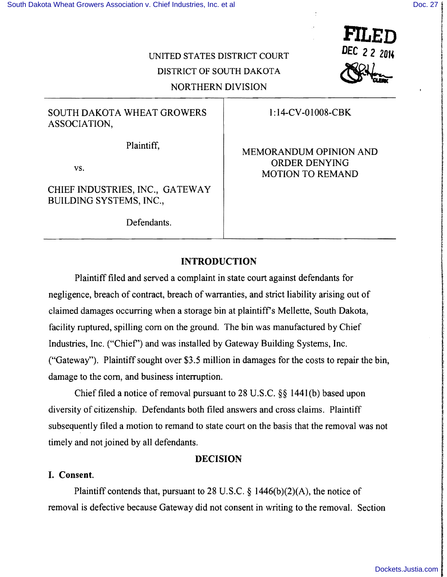$\begin{array}{c}\n\textbf{FILED} \\
\textbf{DEC 22 2014} \\
\textbf{22012}\n\end{array}$ 

**PILED** 

**ISSUED:03** 

In the conference of the company of the con-

f

**financial control** 

# UNITED STATES DISTRICT COURT DISTRICT OF SOUTH DAKOTA NORTHERN DIVISION

# SOUTH DAKOTA WHEAT GROWERS ASSOCIATION,

Plaintiff,

vs.

CHIEF INDUSTRIES, INC., GATEWAY BUILDING SYSTEMS, INC.,

Defendants.

1:14-CV-01008-CBK

MEMORANDUM OPINION AND ORDER DENYING MOTION TO REMAND

## **INTRODUCTION**

Plaintiff filed and served a complaint in state court against defendants for negligence, breach of contract, breach of warranties, and strict liability arising out of claimed damages occurring when a storage bin at plaintiff's Mellette, South Dakota, facility ruptured, spilling com on the ground. The bin was manufactured by Chief Industries, Inc. ("Chief') and was installed by Gateway Building Systems, Inc. ("Gateway"). Plaintiff sought over \$3.5 million in damages for the costs to repair the bin, damage to the com, and business interruption.

Chief filed a notice of removal pursuant to 28 U.S.C. §§ 1441(b) based upon diversity of citizenship. Defendants both filed answers and cross claims. Plaintiff subsequently filed a motion to remand to state court on the basis that the removal was not timely and not joined by all defendants.

#### **DECISION**

## I. Consent.

Plaintiff contends that, pursuant to 28 U.S.C.  $\S$  1446(b)(2)(A), the notice of removal is defective because Gateway did not consent in writing to the removal. Section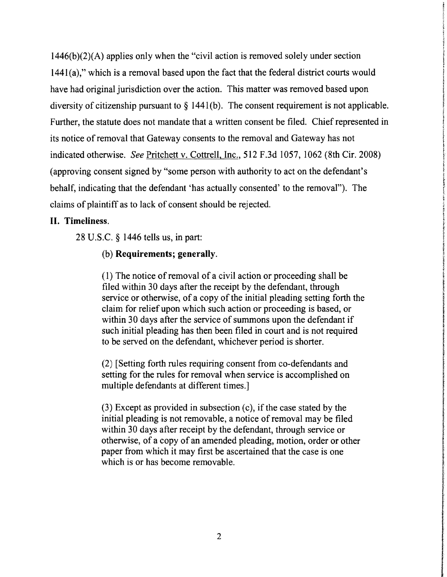1446(b)(2)(A) applies only when the "civil action is removed solely under section 1441(a)," which is a removal based upon the fact that the federal district courts would have had original jurisdiction over the action. This matter was removed based upon diversity of citizenship pursuant to  $\S$  1441(b). The consent requirement is not applicable. Further, the statute does not mandate that a written consent be filed. Chief represented in its notice of removal that Gateway consents to the removal and Gateway has not indicated otherwise. *See* Pritchett v. Cottrell, Inc., 512 F.3d 1057, 1062 (8th Cir. 2008) (approving consent signed by "some person with authority to act on the defendant's behalf, indicating that the defendant 'has actually consented' to the removal"). The claims of plaintiff as to lack of consent should be rejected.

#### **II. Timeliness.**

28 U.S.C. § 1446 tells us, in part:

#### (b) **Requirements; generally.**

(1) The notice ofremoval of a civil action or proceeding shall be filed within 30 days after the receipt by the defendant, through service or otherwise, of a copy of the initial pleading setting forth the claim for relief upon which such action or proceeding is based, or within 30 days after the service of summons upon the defendant if such initial pleading has then been filed in court and is not required to be served on the defendant, whichever period is shorter.

 $(2)$  [Setting forth rules requiring consent from co-defendants and setting for the rules for removal when service is accomplished on multiple defendants at different times.]

J

**International Control of Control of Control of Control of Control of Control of Control of Control of Control**<br>Analysis of Control of Control of Control of Control of Control of Control of Control of Control of Control of

(3) Except as provided in subsection (c), if the case stated by the initial pleading is not removable, a notice of removal may be filed within 30 days after receipt by the defendant, through service or otherwise, of a copy of an amended pleading, motion, order or other paper from which it may first be ascertained that the case is one which is or has become removable.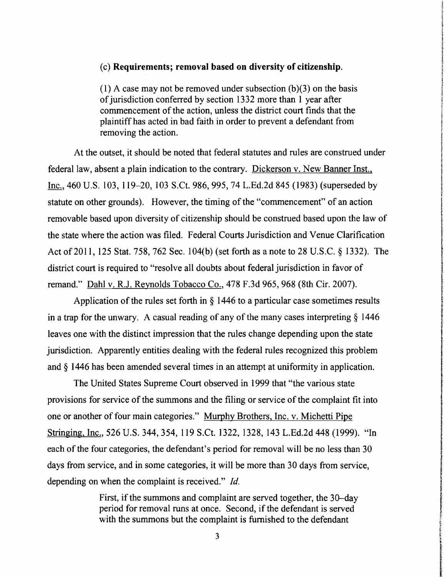#### (c) Requirements; removal based on diversity of citizenship.

(1) A case may not be removed under subsection  $(b)(3)$  on the basis of jurisdiction conferred by section 1332 more than 1 year after commencement of the action, unless the district court finds that the plaintiff has acted in bad faith in order to prevent a defendant from removing the action.

I

ا<br>ا

**International Constitution of the Constitution of the Constitution of the Constitution of the Constitution of** 

f<br>formalist

fall of the S

in Children<br>Carl Children

At the outset, it should be noted that federal statutes and rules are construed under federal law, absent a plain indication to the contrary. Dickerson v. New Banner Inst., Inc., 460 U.S. 103, 119–20, 103 S.Ct. 986, 995, 74 L.Ed.2d 845 (1983) (superseded by statute on other grounds). However, the timing of the "commencement" of an action removable based upon diversity of citizenship should be construed based upon the law of the state where the action was filed. Federal Courts Jurisdiction and Venue Clarification Act of 2011, 125 Stat. 758, 762 Sec. 104(b) (set forth as a note to 28 U.S.C. § 1332). The district court is required to "resolve all doubts about federal jurisdiction in favor of remand." Dahl v. RJ. Reynolds Tobacco Co., 478 F.3d 965, 968 (8th Cir. 2007).

Application of the rules set forth in § 1446 to a particular case sometimes results in a trap for the unwary. A casual reading of any of the many cases interpreting  $\S$  1446 leaves one with the distinct impression that the rules change depending upon the state jurisdiction. Apparently entities dealing with the federal rules recognized this problem and § 1446 has been amended several times in an attempt at uniformity in application.

The United States Supreme Court observed in 1999 that "the various state provisions for service of the summons and the filing or service of the complaint fit into one or another of four main categories." Murphy Brothers, Inc. v. Michetti Pipe Stringing, Inc., 526 U.S. 344,354, 119 S.Ct. 1322, 1328, 143 L.Ed.2d 448 (1999). "In each of the four categories, the defendant's period for removal will be no less than 30 days from service, and in some categories, it will be more than 30 days from service,<br>depending on when the complaint is received."  $Id$ .

First, if the summons and complaint are served together, the 30-day depending on when the complaint is received." *Id.*<br>First, if the summons and complaint are served together, the 30-day<br>period for removal runs at once. Second, if the defendant is served with the summons but the complaint is furnished to the defendant

**3**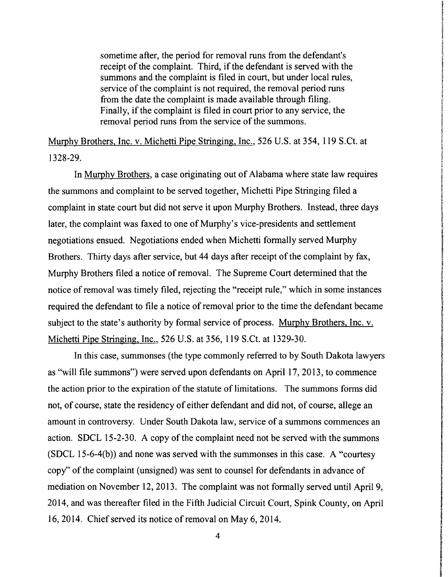sometime after, the period for removal runs from the defendant's receipt of the complaint. Third, if the defendant is served with the summons and the complaint is filed in court, but under local rules, service of the complaint is not required, the removal period runs from the date the complaint is made available through filing. Finally, if the complaint is filed in court prior to any service, the removal period runs from the service of the summons.

Murphy Brothers, Inc. v. Michetti Pipe Stringing, Inc., 526 U.S. at 354, 119 S.Ct. at 132829.

In Murphy Brothers, a case originating out of Alabama where state law requires the summons and complaint to be served together, Michetti Pipe Stringing filed a complaint in state court but did not serve it upon Murphy Brothers. Instead, three days later, the complaint was faxed to one of Murphy's vice-presidents and settlement negotiations ensued. Negotiations ended when Michetti formally served Murphy Brothers. Thirty days after service, but 44 days after receipt of the complaint by fax, Murphy Brothers filed a notice of removal. The Supreme Court determined that the notice of removal was timely filed, rejecting the "receipt rule," which in some instances required the defendant to file a notice of removal prior to the time the defendant became subject to the state's authority by formal service of process. Murphy Brothers, Inc. v. Michetti Pipe Stringing, Inc., 526 U.S. at 356, 119 S.Ct. at 1329-30.

In this case, summonses (the type commonly referred to by South Dakota lawyers as "will file summons") were served upon defendants on April 17, 2013, to commence the action prior to the expiration of the statute of limitations. The summons forms did not, of course, state the residency of either defendant and did not, of course, allege an amount in controversy. Under South Dakota law, service of a summons commences an action. SDCL 15-2-30. A copy of the complaint need not be served with the summons (SDCL 15-6-4(b)) and none was served with the summonses in this case. A "courtesy" copy" of the complaint (unsigned) was sent to counsel for defendants in advance of mediation on November 12,2013. The complaint was not formally served until April 9, 2014, and was thereafter filed in the Fifth Judicial Circuit Court, Spink County, on April 16, 2014. Chief served its notice of removal on May 6, 2014.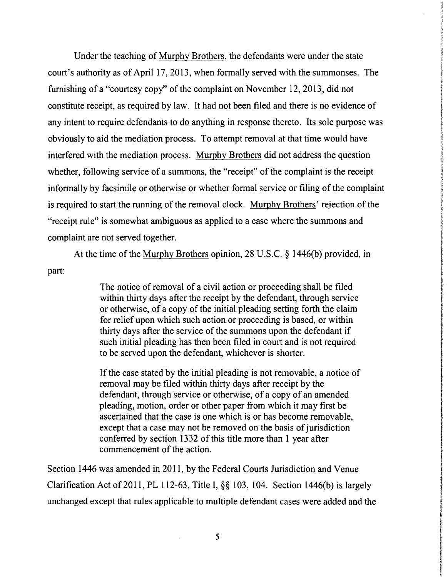Under the teaching of Murphy Brothers, the defendants were under the state court's authority as of April 17,2013, when formally served with the summonses. The furnishing of a "courtesy copy" of the complaint on November 12, 2013, did not constitute receipt, as required by law. It had not been filed and there is no evidence of any intent to require defendants to do anything in response thereto. Its sole purpose was obviously to aid the mediation process. To attempt removal at that time would have interfered with the mediation process. Murphy Brothers did not address the question whether, following service of a summons, the "receipt" of the complaint is the receipt informally by facsimile or otherwise or whether formal service or filing of the complaint is required to start the running of the removal clock. Murphy Brothers' rejection of the "receipt rule" is somewhat ambiguous as applied to a case where the summons and complaint are not served together.

At the time of the Murphy Brothers opinion, 28 U.S.C. § 1 446(b) provided, in part:

> The notice of removal of a civil action or proceeding shall be filed within thirty days after the receipt by the defendant, through service or otherwise, of a copy of the initial pleading setting forth the claim for relief upon which such action or proceeding is based, or within thirty days after the service of the summons upon the defendant if such initial pleading has then been filed in court and is not required to be served upon the defendant, whichever is shorter.

> If the case stated by the initial pleading is not removable, a notice of removal may be filed within thirty days after receipt by the defendant, through service or otherwise, of a copy of an amended pleading, motion, order or other paper from which it may first be ascertained that the case is one which is or has become removable, except that a case may not be removed on the basis of jurisdiction conferred by section 1332 of this title more than 1 year after commencement of the action.

Section 1446 was amended in 2011, by the Federal Courts Jurisdiction and Venue Clarification Act of 2011, PL 112-63, Title I,  $\S$  $\S$  103, 104. Section 1446(b) is largely unchanged except that rules applicable to multiple defendant cases were added and the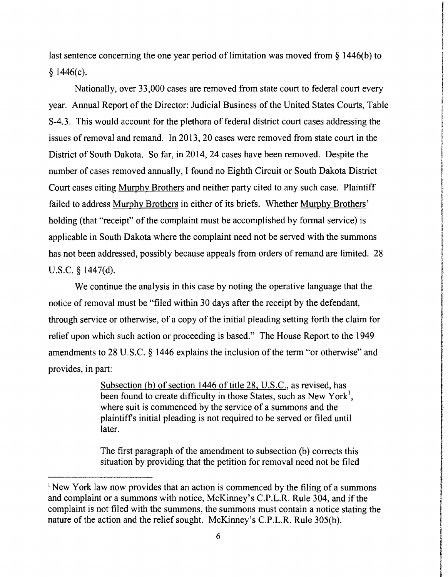last sentence concerning the one year period of limitation was moved from § 1446(b) to  $§$  1446(c).

**International Construction Construction** Internet f

I

interfektionen er eta elektronikoa.<br>Interfektionen er eta elektronikoa. !

f

i<br>internationalistic

reading and the control of the control of the control of the control of the control of the control of the control of the control of the control of the control of the control of the control of the control of the control of

Nationally, over 33,000 cases are removed from state court to federal court every year. Annual Report of the Director: Judicial Business of the United States Courts, Table f S-4.3. This would account for the plethora of federal district court cases addressing the issues of removal and remand. In 2013, 20 cases were removed from state court in the District of South Dakota. So far, in 2014, 24 cases have been removed. Despite the number of cases removed annually, I found no Eighth Circuit or South Dakota District Court cases citing Murphy Brothers and neither party cited to any such case. Plaintiff failed to address Murphy Brothers in either of its briefs. Whether Murphy Brothers' holding (that "receipt" of the complaint must be accomplished by formal service) is applicable in South Dakota where the complaint need not be served with the summons has not been addressed, possibly because appeals from orders of remand are limited. 28 has not been addressed, possibly because appeals from orders of remand are limited. 28<br>U.S.C. § 1447(d).

We continue the analysis in this case by noting the operative language that the U.S.C.  $\S$  1447(d).<br>We continue the analysis in this case by noting the operative language that the receipt by the defendant, notice of removal must be "filed within 30 days after the receipt by the defendant, through service or otherwise, of a copy of the initial pleading setting forth the claim for f relief upon which such action or proceeding is based." The House Report to the 1949 amendments to 28 U.S.C. § 1446 explains the inclusion of the term "or otherwise" and provides, in part:

> Subsection (b) of section 1446 of title 28, U.S.C., as revised, has been found to create difficulty in those States, such as New York<sup>1</sup>, where suit is commenced by the service of a summons and the plaintiff's initial pleading is not required to be served or filed until<br>later.

The first paragraph of the amendment to subsection (b) corrects this situation by providing that the petition for removal need not be filed

<sup>&</sup>lt;sup>1</sup> New York law now provides that an action is commenced by the filing of a summons and complaint or a summons with notice, McKinney's C.P.L.R. Rule 304, and if the complaint is not filed with the summons, the summons must contain a notice stating the nature of the action and the relief sought. McKinney's C.P.L.R. Rule 305(b).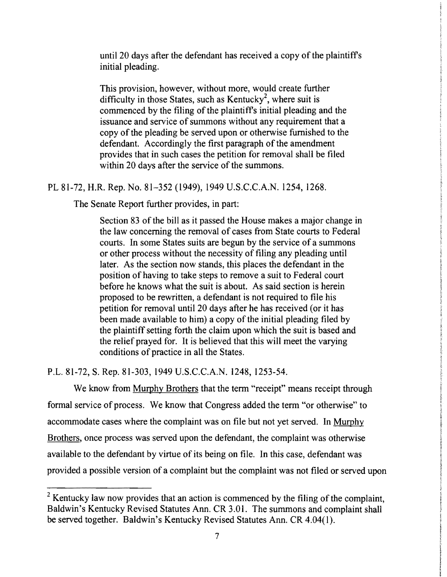until 20 days after the defendant has received a copy of the plaintiffs initial pleading.

This provision, however, without more, would create further difficulty in those States, such as Kentucky<sup>2</sup>, where suit is commenced by the filing of the plaintiff's initial pleading and the issuance and service of summons without any requirement that a copy of the pleading be served upon or otherwise furnished to the defendant. Accordingly the first paragraph of the amendment provides that in such cases the petition for removal shall be filed within 20 days after the service of the summons.

PL 81-72, H.R. Rep. No. 81–352 (1949), 1949 U.S.C.C.A.N. 1254, 1268.

The Senate Report further provides, in part:

Section 83 of the bill as it passed the House makes a major change in the law concerning the removal of cases from State courts to Federal courts. In some States suits are begun by the service of a summons or other process without the necessity of filing any pleading until later. As the section now stands, this places the defendant in the position of having to take steps to remove a suit to Federal court before he knows what the suit is about. As said section is herein proposed to be rewritten, a defendant is not required to file his petition for removal until 20 days after he has received (or it has been made available to him) a copy of the initial pleading filed by the plaintiff setting forth the claim upon which the suit is based and the relief prayed for. It is believed that this will meet the varying conditions of practice in all the States.

P.L. 81-72, S. Rep. 81-303, 1949 U.S.C.C.A.N. 1248, 1253-54.

We know from Murphy Brothers that the term "receipt" means receipt through formal service of process. We know that Congress added the term "or otherwise" to accommodate cases where the complaint was on file but not yet served. In Murphy Brothers, once process was served upon the defendant, the complaint was otherwise available to the defendant by virtue of its being on file. In this case, defendant was provided a possible version of a complaint but the complaint was not filed or served upon

 $2$  Kentucky law now provides that an action is commenced by the filing of the complaint, Baldwin's Kentucky Revised Statutes Ann. CR 3.0 I. The summons and complaint shall be served together. Baldwin's Kentucky Revised Statutes Ann. CR 4.04(1).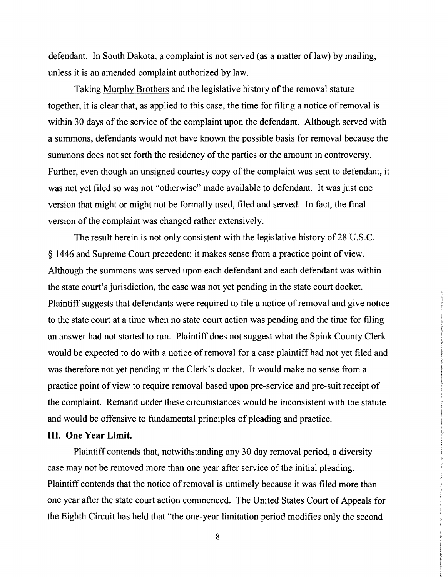defendant. In South Dakota, a complaint is not served (as a matter of law) by mailing, unless it is an amended complaint authorized by law.

Taking Murphy Brothers and the legislative history of the removal statute together, it is clear that, as applied to this case, the time for filing a notice ofremoval is within 30 days of the service of the complaint upon the defendant. Although served with a summons, defendants would not have known the possible basis for removal because the summons does not set forth the residency of the parties or the amount in controversy. Further, even though an unsigned courtesy copy of the complaint was sent to defendant, it was not yet filed so was not "otherwise" made available to defendant. It was just one version that might or might not be formally used, filed and served. In fact, the final version of the complaint was changed rather extensively.

The result herein is not only consistent with the legislative history of 28 U.S.C. § 1446 and Supreme Court precedent; it makes sense from a practice point of view. Although the summons was served upon each defendant and each defendant was within the state court's jurisdiction, the case was not yet pending in the state court docket. Plaintiff suggests that defendants were required to file a notice of removal and give notice to the state court at a time when no state court action was pending and the time for filing an answer had not started to run. Plaintiff does not suggest what the Spink County Clerk would be expected to do with a notice of removal for a case plaintiff had not yet filed and was therefore not yet pending in the Clerk's docket. It would make no sense from a practice point of view to require removal based upon pre-service and pre-suit receipt of the complaint. Remand under these circumstances would be inconsistent with the statute and would be offensive to fundamental principles of pleading and practice.

## **III. One Year Limit.**

Plaintiff contends that, notwithstanding any 30 day removal period, a diversity case may not be removed more than one year after service of the initial pleading. Plaintiff contends that the notice of removal is untimely because it was filed more than one year after the state court action commenced. The United States Court of Appeals for the Eighth Circuit has held that "the one-year limitation period modifies only the second

8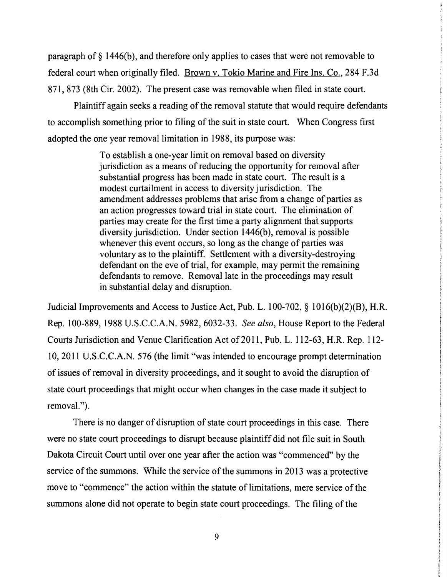paragraph of § 1446(b), and therefore only applies to cases that were not removable to federal court when originally filed. Brown v. Tokio Marine and Fire Ins. Co., 284 F.3d 871, 873 (8th Cir. 2002). The present case was removable when filed in state court.

Plaintiff again seeks a reading of the removal statute that would require defendants to accomplish something prior to filing of the suit in state court. When Congress first adopted the one year removal limitation in 1988, its purpose was:

> To establish a one-year limit on removal based on diversity jurisdiction as a means of reducing the opportunity for removal after substantial progress has been made in state court. The result is a modest curtailment in access to diversity jurisdiction. The amendment addresses problems that arise from a change of parties as an action progresses toward trial in state court. The elimination of parties may create for the first time a party alignment that supports diversity jurisdiction. Under section 1446(b), removal is possible whenever this event occurs, so long as the change of parties was voluntary as to the plaintiff. Settlement with a diversity-destroying defendant on the eve of trial, for example, may permit the remaining defendants to remove. Removal late in the proceedings may result in substantial delay and disruption.

Judicial Improvements and Access to Justice Act, Pub. L.  $100-702$ , §  $1016(b)(2)(B)$ , H.R. Rep. 100889, 1988 U.S.C.C.A.N. 5982,603233. *See also,* House Report to the Federal Courts Jurisdiction and Venue Clarification Act of 2011, Pub. L. 112-63, H.R. Rep. 112-10,2011 U.S.C.C.A.N. 576 (the limit "was intended to encourage prompt determination of issues of removal in diversity proceedings, and it sought to avoid the disruption of state court proceedings that might occur when changes in the case made it subject to removal.").

There is no danger of disruption of state court proceedings in this case. There were no state court proceedings to disrupt because plaintiff did not file suit in South Dakota Circuit Court until over one year after the action was "commenced" by the service of the summons. While the service of the summons in 2013 was a protective move to "commence" the action within the statute of limitations, mere service of the summons alone did not operate to begin state court proceedings. The filing of the

9